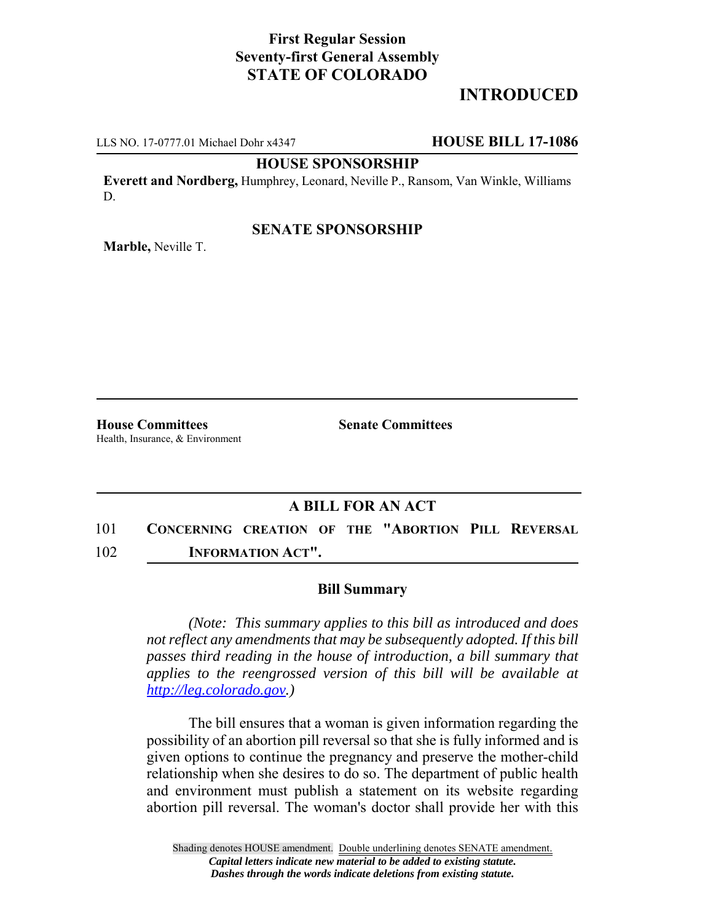# **First Regular Session Seventy-first General Assembly STATE OF COLORADO**

# **INTRODUCED**

LLS NO. 17-0777.01 Michael Dohr x4347 **HOUSE BILL 17-1086**

**HOUSE SPONSORSHIP**

**Everett and Nordberg,** Humphrey, Leonard, Neville P., Ransom, Van Winkle, Williams D.

### **SENATE SPONSORSHIP**

**Marble,** Neville T.

**House Committees Senate Committees** Health, Insurance, & Environment

### **A BILL FOR AN ACT**

101 **CONCERNING CREATION OF THE "ABORTION PILL REVERSAL** 102 **INFORMATION ACT".**

#### **Bill Summary**

*(Note: This summary applies to this bill as introduced and does not reflect any amendments that may be subsequently adopted. If this bill passes third reading in the house of introduction, a bill summary that applies to the reengrossed version of this bill will be available at http://leg.colorado.gov.)*

The bill ensures that a woman is given information regarding the possibility of an abortion pill reversal so that she is fully informed and is given options to continue the pregnancy and preserve the mother-child relationship when she desires to do so. The department of public health and environment must publish a statement on its website regarding abortion pill reversal. The woman's doctor shall provide her with this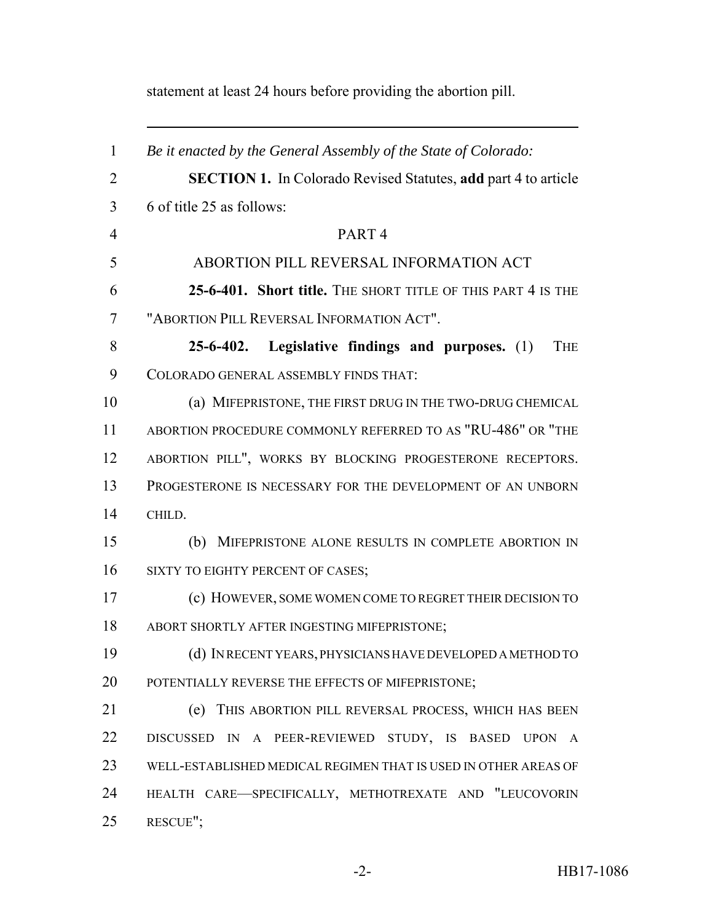statement at least 24 hours before providing the abortion pill.

 *Be it enacted by the General Assembly of the State of Colorado:* **SECTION 1.** In Colorado Revised Statutes, **add** part 4 to article 6 of title 25 as follows: PART 4 ABORTION PILL REVERSAL INFORMATION ACT **25-6-401. Short title.** THE SHORT TITLE OF THIS PART 4 IS THE "ABORTION PILL REVERSAL INFORMATION ACT". **25-6-402. Legislative findings and purposes.** (1) THE COLORADO GENERAL ASSEMBLY FINDS THAT: (a) MIFEPRISTONE, THE FIRST DRUG IN THE TWO-DRUG CHEMICAL ABORTION PROCEDURE COMMONLY REFERRED TO AS "RU-486" OR "THE ABORTION PILL", WORKS BY BLOCKING PROGESTERONE RECEPTORS. PROGESTERONE IS NECESSARY FOR THE DEVELOPMENT OF AN UNBORN CHILD. (b) MIFEPRISTONE ALONE RESULTS IN COMPLETE ABORTION IN 16 SIXTY TO EIGHTY PERCENT OF CASES; (c) HOWEVER, SOME WOMEN COME TO REGRET THEIR DECISION TO ABORT SHORTLY AFTER INGESTING MIFEPRISTONE; (d) IN RECENT YEARS, PHYSICIANS HAVE DEVELOPED A METHOD TO 20 POTENTIALLY REVERSE THE EFFECTS OF MIFEPRISTONE; (e) THIS ABORTION PILL REVERSAL PROCESS, WHICH HAS BEEN DISCUSSED IN A PEER-REVIEWED STUDY, IS BASED UPON A WELL-ESTABLISHED MEDICAL REGIMEN THAT IS USED IN OTHER AREAS OF HEALTH CARE—SPECIFICALLY, METHOTREXATE AND "LEUCOVORIN RESCUE";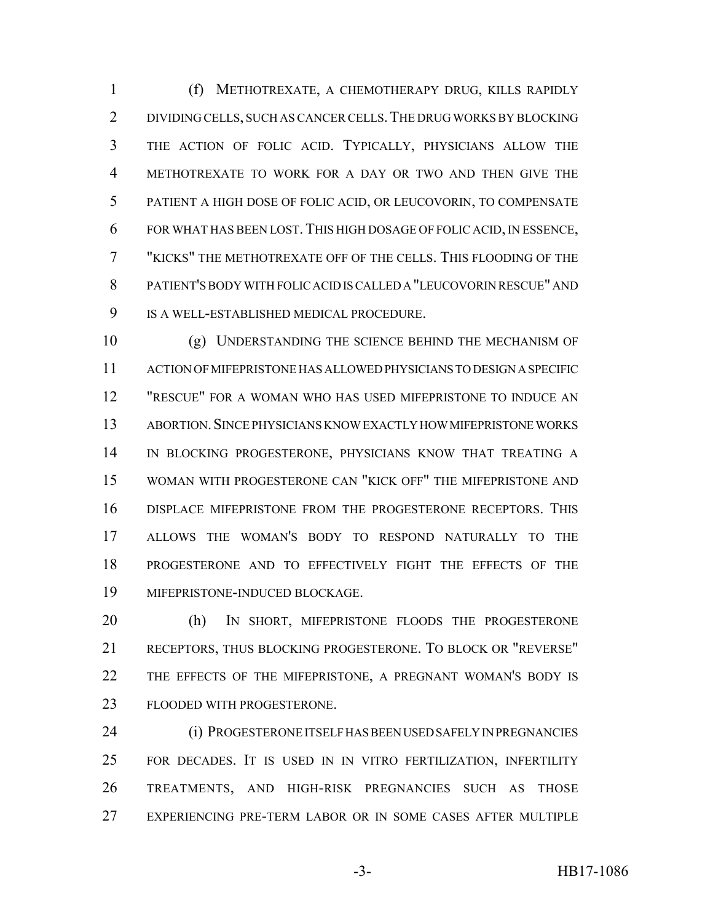(f) METHOTREXATE, A CHEMOTHERAPY DRUG, KILLS RAPIDLY DIVIDING CELLS, SUCH AS CANCER CELLS.THE DRUG WORKS BY BLOCKING THE ACTION OF FOLIC ACID. TYPICALLY, PHYSICIANS ALLOW THE METHOTREXATE TO WORK FOR A DAY OR TWO AND THEN GIVE THE PATIENT A HIGH DOSE OF FOLIC ACID, OR LEUCOVORIN, TO COMPENSATE FOR WHAT HAS BEEN LOST.THIS HIGH DOSAGE OF FOLIC ACID, IN ESSENCE, "KICKS" THE METHOTREXATE OFF OF THE CELLS. THIS FLOODING OF THE PATIENT'S BODY WITH FOLIC ACID IS CALLED A "LEUCOVORIN RESCUE" AND IS A WELL-ESTABLISHED MEDICAL PROCEDURE.

 (g) UNDERSTANDING THE SCIENCE BEHIND THE MECHANISM OF ACTION OF MIFEPRISTONE HAS ALLOWED PHYSICIANS TO DESIGN A SPECIFIC "RESCUE" FOR A WOMAN WHO HAS USED MIFEPRISTONE TO INDUCE AN ABORTION.SINCE PHYSICIANS KNOW EXACTLY HOW MIFEPRISTONE WORKS IN BLOCKING PROGESTERONE, PHYSICIANS KNOW THAT TREATING A WOMAN WITH PROGESTERONE CAN "KICK OFF" THE MIFEPRISTONE AND DISPLACE MIFEPRISTONE FROM THE PROGESTERONE RECEPTORS. THIS ALLOWS THE WOMAN'S BODY TO RESPOND NATURALLY TO THE PROGESTERONE AND TO EFFECTIVELY FIGHT THE EFFECTS OF THE MIFEPRISTONE-INDUCED BLOCKAGE.

 (h) IN SHORT, MIFEPRISTONE FLOODS THE PROGESTERONE RECEPTORS, THUS BLOCKING PROGESTERONE. TO BLOCK OR "REVERSE" THE EFFECTS OF THE MIFEPRISTONE, A PREGNANT WOMAN'S BODY IS FLOODED WITH PROGESTERONE.

 (i) PROGESTERONE ITSELF HAS BEEN USED SAFELY IN PREGNANCIES FOR DECADES. IT IS USED IN IN VITRO FERTILIZATION, INFERTILITY TREATMENTS, AND HIGH-RISK PREGNANCIES SUCH AS THOSE EXPERIENCING PRE-TERM LABOR OR IN SOME CASES AFTER MULTIPLE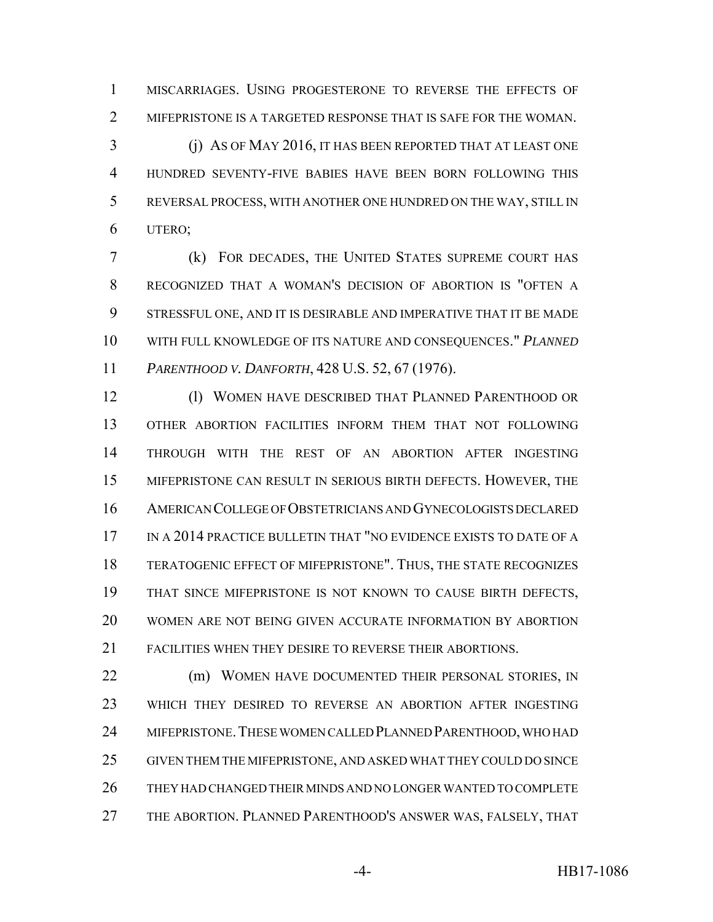MISCARRIAGES. USING PROGESTERONE TO REVERSE THE EFFECTS OF MIFEPRISTONE IS A TARGETED RESPONSE THAT IS SAFE FOR THE WOMAN.

 (j) AS OF MAY 2016, IT HAS BEEN REPORTED THAT AT LEAST ONE HUNDRED SEVENTY-FIVE BABIES HAVE BEEN BORN FOLLOWING THIS REVERSAL PROCESS, WITH ANOTHER ONE HUNDRED ON THE WAY, STILL IN UTERO;

 (k) FOR DECADES, THE UNITED STATES SUPREME COURT HAS RECOGNIZED THAT A WOMAN'S DECISION OF ABORTION IS "OFTEN A STRESSFUL ONE, AND IT IS DESIRABLE AND IMPERATIVE THAT IT BE MADE WITH FULL KNOWLEDGE OF ITS NATURE AND CONSEQUENCES." *PLANNED PARENTHOOD V. DANFORTH*, 428 U.S. 52, 67 (1976).

12 (l) WOMEN HAVE DESCRIBED THAT PLANNED PARENTHOOD OR OTHER ABORTION FACILITIES INFORM THEM THAT NOT FOLLOWING THROUGH WITH THE REST OF AN ABORTION AFTER INGESTING MIFEPRISTONE CAN RESULT IN SERIOUS BIRTH DEFECTS. HOWEVER, THE AMERICAN COLLEGE OF OBSTETRICIANS AND GYNECOLOGISTS DECLARED IN A 2014 PRACTICE BULLETIN THAT "NO EVIDENCE EXISTS TO DATE OF A TERATOGENIC EFFECT OF MIFEPRISTONE". THUS, THE STATE RECOGNIZES THAT SINCE MIFEPRISTONE IS NOT KNOWN TO CAUSE BIRTH DEFECTS, WOMEN ARE NOT BEING GIVEN ACCURATE INFORMATION BY ABORTION FACILITIES WHEN THEY DESIRE TO REVERSE THEIR ABORTIONS.

22 (m) WOMEN HAVE DOCUMENTED THEIR PERSONAL STORIES, IN WHICH THEY DESIRED TO REVERSE AN ABORTION AFTER INGESTING 24 MIFEPRISTONE. THESE WOMEN CALLED PLANNED PARENTHOOD, WHO HAD GIVEN THEM THE MIFEPRISTONE, AND ASKED WHAT THEY COULD DO SINCE THEY HAD CHANGED THEIR MINDS AND NO LONGER WANTED TO COMPLETE THE ABORTION. PLANNED PARENTHOOD'S ANSWER WAS, FALSELY, THAT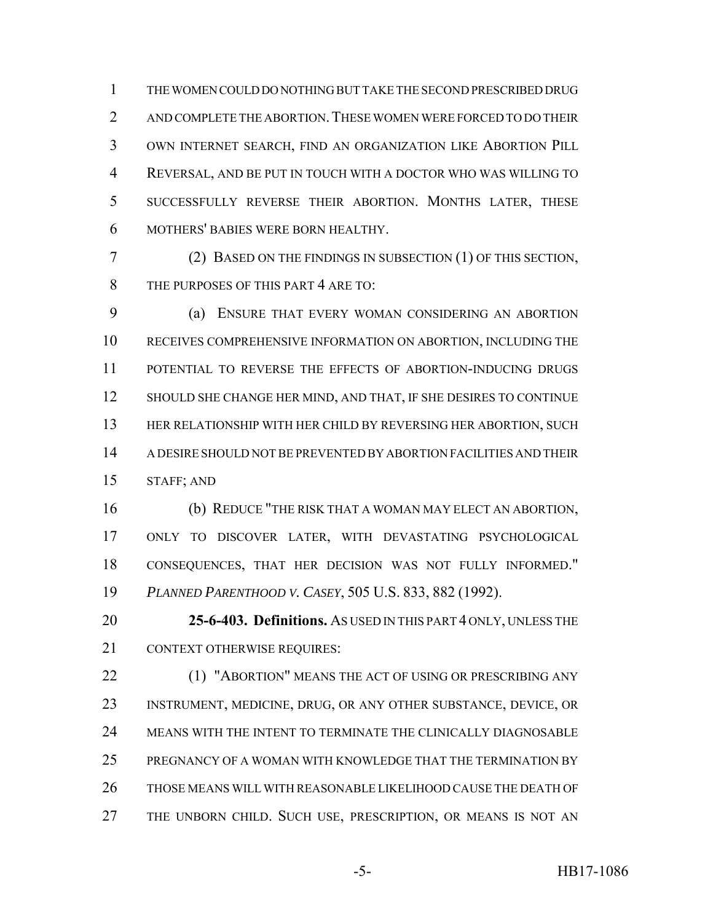THE WOMEN COULD DO NOTHING BUT TAKE THE SECOND PRESCRIBED DRUG 2 AND COMPLETE THE ABORTION. THESE WOMEN WERE FORCED TO DO THEIR OWN INTERNET SEARCH, FIND AN ORGANIZATION LIKE ABORTION PILL REVERSAL, AND BE PUT IN TOUCH WITH A DOCTOR WHO WAS WILLING TO SUCCESSFULLY REVERSE THEIR ABORTION. MONTHS LATER, THESE MOTHERS' BABIES WERE BORN HEALTHY.

 (2) BASED ON THE FINDINGS IN SUBSECTION (1) OF THIS SECTION, 8 THE PURPOSES OF THIS PART 4 ARE TO:

 (a) ENSURE THAT EVERY WOMAN CONSIDERING AN ABORTION RECEIVES COMPREHENSIVE INFORMATION ON ABORTION, INCLUDING THE POTENTIAL TO REVERSE THE EFFECTS OF ABORTION-INDUCING DRUGS 12 SHOULD SHE CHANGE HER MIND, AND THAT, IF SHE DESIRES TO CONTINUE HER RELATIONSHIP WITH HER CHILD BY REVERSING HER ABORTION, SUCH A DESIRE SHOULD NOT BE PREVENTED BY ABORTION FACILITIES AND THEIR STAFF; AND

 (b) REDUCE "THE RISK THAT A WOMAN MAY ELECT AN ABORTION, ONLY TO DISCOVER LATER, WITH DEVASTATING PSYCHOLOGICAL CONSEQUENCES, THAT HER DECISION WAS NOT FULLY INFORMED." *PLANNED PARENTHOOD V. CASEY*, 505 U.S. 833, 882 (1992).

 **25-6-403. Definitions.** AS USED IN THIS PART 4 ONLY, UNLESS THE 21 CONTEXT OTHERWISE REQUIRES:

22 (1) "ABORTION" MEANS THE ACT OF USING OR PRESCRIBING ANY INSTRUMENT, MEDICINE, DRUG, OR ANY OTHER SUBSTANCE, DEVICE, OR MEANS WITH THE INTENT TO TERMINATE THE CLINICALLY DIAGNOSABLE PREGNANCY OF A WOMAN WITH KNOWLEDGE THAT THE TERMINATION BY THOSE MEANS WILL WITH REASONABLE LIKELIHOOD CAUSE THE DEATH OF THE UNBORN CHILD. SUCH USE, PRESCRIPTION, OR MEANS IS NOT AN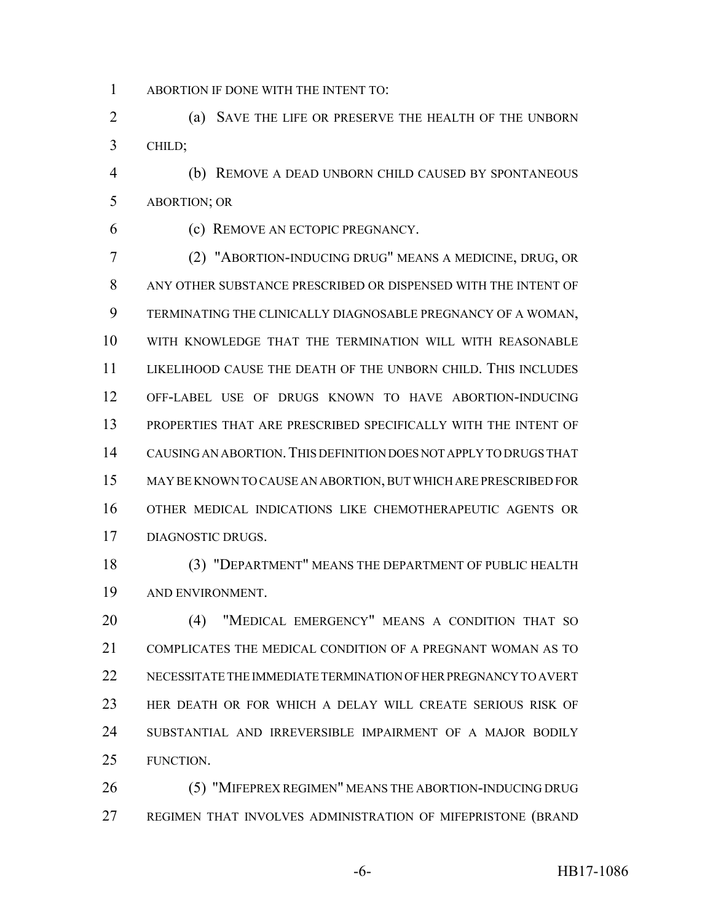ABORTION IF DONE WITH THE INTENT TO:

 (a) SAVE THE LIFE OR PRESERVE THE HEALTH OF THE UNBORN CHILD;

 (b) REMOVE A DEAD UNBORN CHILD CAUSED BY SPONTANEOUS ABORTION; OR

(c) REMOVE AN ECTOPIC PREGNANCY.

 (2) "ABORTION-INDUCING DRUG" MEANS A MEDICINE, DRUG, OR ANY OTHER SUBSTANCE PRESCRIBED OR DISPENSED WITH THE INTENT OF TERMINATING THE CLINICALLY DIAGNOSABLE PREGNANCY OF A WOMAN, WITH KNOWLEDGE THAT THE TERMINATION WILL WITH REASONABLE LIKELIHOOD CAUSE THE DEATH OF THE UNBORN CHILD. THIS INCLUDES OFF-LABEL USE OF DRUGS KNOWN TO HAVE ABORTION-INDUCING PROPERTIES THAT ARE PRESCRIBED SPECIFICALLY WITH THE INTENT OF CAUSING AN ABORTION.THIS DEFINITION DOES NOT APPLY TO DRUGS THAT MAY BE KNOWN TO CAUSE AN ABORTION, BUT WHICH ARE PRESCRIBED FOR OTHER MEDICAL INDICATIONS LIKE CHEMOTHERAPEUTIC AGENTS OR DIAGNOSTIC DRUGS.

 (3) "DEPARTMENT" MEANS THE DEPARTMENT OF PUBLIC HEALTH AND ENVIRONMENT.

 (4) "MEDICAL EMERGENCY" MEANS A CONDITION THAT SO COMPLICATES THE MEDICAL CONDITION OF A PREGNANT WOMAN AS TO NECESSITATE THE IMMEDIATE TERMINATION OF HER PREGNANCY TO AVERT HER DEATH OR FOR WHICH A DELAY WILL CREATE SERIOUS RISK OF SUBSTANTIAL AND IRREVERSIBLE IMPAIRMENT OF A MAJOR BODILY FUNCTION.

 (5) "MIFEPREX REGIMEN" MEANS THE ABORTION-INDUCING DRUG REGIMEN THAT INVOLVES ADMINISTRATION OF MIFEPRISTONE (BRAND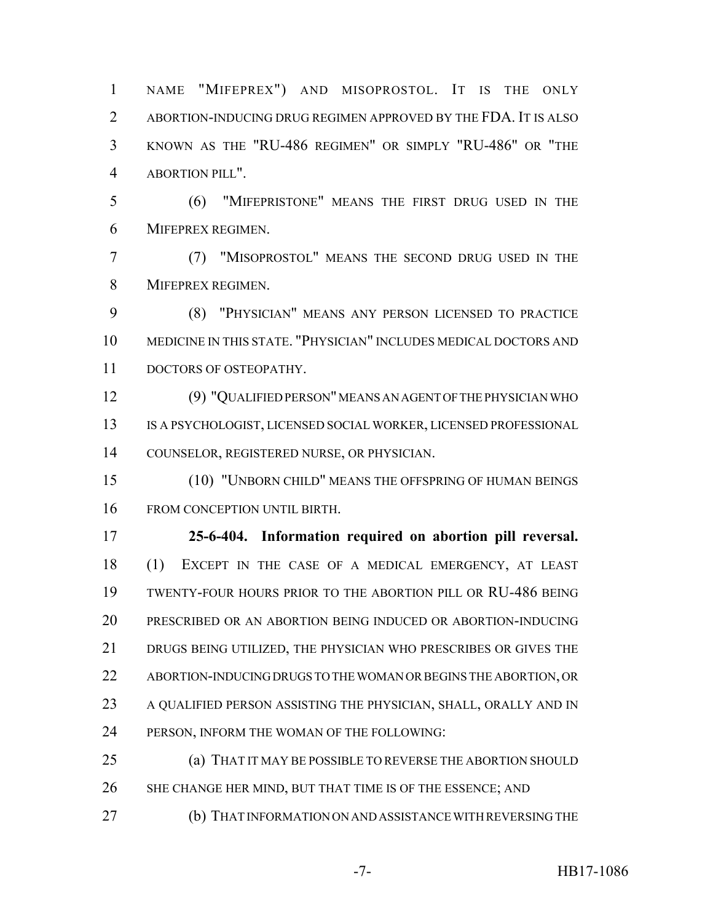NAME "MIFEPREX") AND MISOPROSTOL. IT IS THE ONLY ABORTION-INDUCING DRUG REGIMEN APPROVED BY THE FDA. IT IS ALSO KNOWN AS THE "RU-486 REGIMEN" OR SIMPLY "RU-486" OR "THE ABORTION PILL".

 (6) "MIFEPRISTONE" MEANS THE FIRST DRUG USED IN THE MIFEPREX REGIMEN.

 (7) "MISOPROSTOL" MEANS THE SECOND DRUG USED IN THE MIFEPREX REGIMEN.

 (8) "PHYSICIAN" MEANS ANY PERSON LICENSED TO PRACTICE MEDICINE IN THIS STATE. "PHYSICIAN" INCLUDES MEDICAL DOCTORS AND DOCTORS OF OSTEOPATHY.

 (9) "QUALIFIED PERSON" MEANS AN AGENT OF THE PHYSICIAN WHO IS A PSYCHOLOGIST, LICENSED SOCIAL WORKER, LICENSED PROFESSIONAL COUNSELOR, REGISTERED NURSE, OR PHYSICIAN.

 (10) "UNBORN CHILD" MEANS THE OFFSPRING OF HUMAN BEINGS FROM CONCEPTION UNTIL BIRTH.

 **25-6-404. Information required on abortion pill reversal.** (1) EXCEPT IN THE CASE OF A MEDICAL EMERGENCY, AT LEAST TWENTY-FOUR HOURS PRIOR TO THE ABORTION PILL OR RU-486 BEING PRESCRIBED OR AN ABORTION BEING INDUCED OR ABORTION-INDUCING DRUGS BEING UTILIZED, THE PHYSICIAN WHO PRESCRIBES OR GIVES THE ABORTION-INDUCING DRUGS TO THE WOMAN OR BEGINS THE ABORTION, OR A QUALIFIED PERSON ASSISTING THE PHYSICIAN, SHALL, ORALLY AND IN PERSON, INFORM THE WOMAN OF THE FOLLOWING:

 (a) THAT IT MAY BE POSSIBLE TO REVERSE THE ABORTION SHOULD 26 SHE CHANGE HER MIND, BUT THAT TIME IS OF THE ESSENCE; AND

(b) THAT INFORMATION ON AND ASSISTANCE WITH REVERSING THE

-7- HB17-1086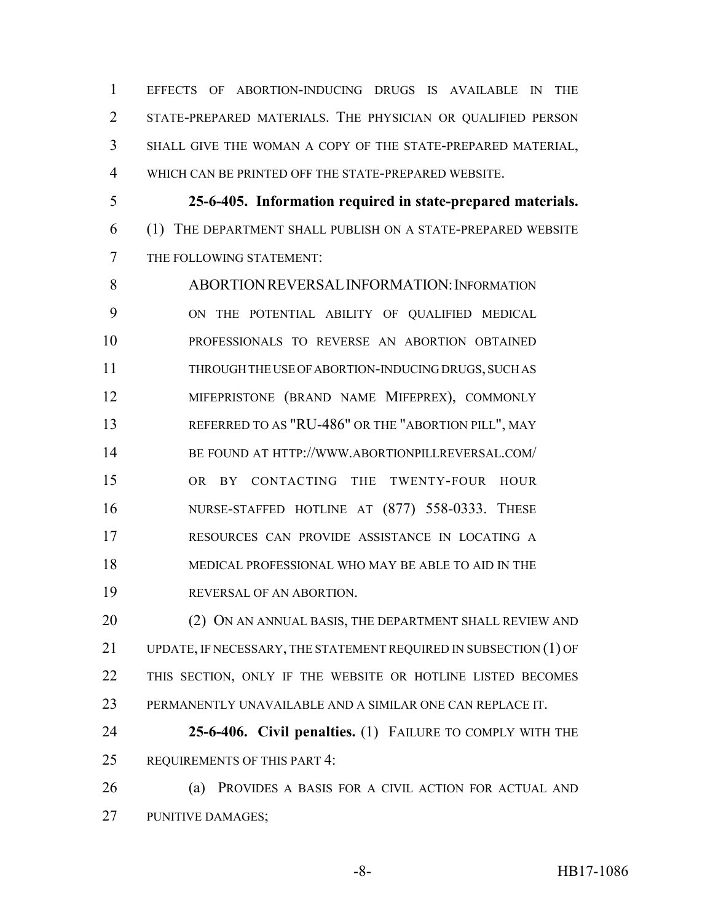EFFECTS OF ABORTION-INDUCING DRUGS IS AVAILABLE IN THE STATE-PREPARED MATERIALS. THE PHYSICIAN OR QUALIFIED PERSON SHALL GIVE THE WOMAN A COPY OF THE STATE-PREPARED MATERIAL, WHICH CAN BE PRINTED OFF THE STATE-PREPARED WEBSITE.

 **25-6-405. Information required in state-prepared materials.** (1) THE DEPARTMENT SHALL PUBLISH ON A STATE-PREPARED WEBSITE THE FOLLOWING STATEMENT:

 ABORTIONREVERSALINFORMATION:INFORMATION ON THE POTENTIAL ABILITY OF QUALIFIED MEDICAL PROFESSIONALS TO REVERSE AN ABORTION OBTAINED THROUGH THE USE OF ABORTION-INDUCING DRUGS, SUCH AS MIFEPRISTONE (BRAND NAME MIFEPREX), COMMONLY REFERRED TO AS "RU-486" OR THE "ABORTION PILL", MAY BE FOUND AT HTTP://WWW.ABORTIONPILLREVERSAL.COM/ OR BY CONTACTING THE TWENTY-FOUR HOUR NURSE-STAFFED HOTLINE AT (877) 558-0333. THESE RESOURCES CAN PROVIDE ASSISTANCE IN LOCATING A MEDICAL PROFESSIONAL WHO MAY BE ABLE TO AID IN THE REVERSAL OF AN ABORTION.

20 (2) ON AN ANNUAL BASIS, THE DEPARTMENT SHALL REVIEW AND UPDATE, IF NECESSARY, THE STATEMENT REQUIRED IN SUBSECTION (1) OF THIS SECTION, ONLY IF THE WEBSITE OR HOTLINE LISTED BECOMES PERMANENTLY UNAVAILABLE AND A SIMILAR ONE CAN REPLACE IT.

 **25-6-406. Civil penalties.** (1) FAILURE TO COMPLY WITH THE REQUIREMENTS OF THIS PART 4:

 (a) PROVIDES A BASIS FOR A CIVIL ACTION FOR ACTUAL AND PUNITIVE DAMAGES;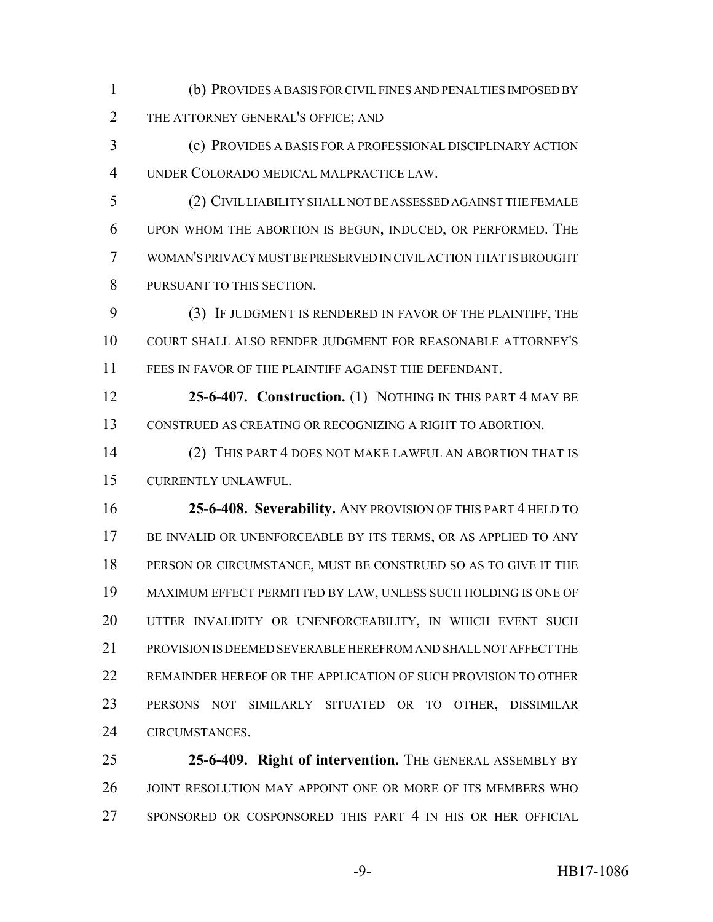- (b) PROVIDES A BASIS FOR CIVIL FINES AND PENALTIES IMPOSED BY 2 THE ATTORNEY GENERAL'S OFFICE; AND
- (c) PROVIDES A BASIS FOR A PROFESSIONAL DISCIPLINARY ACTION UNDER COLORADO MEDICAL MALPRACTICE LAW.
- (2) CIVIL LIABILITY SHALL NOT BE ASSESSED AGAINST THE FEMALE UPON WHOM THE ABORTION IS BEGUN, INDUCED, OR PERFORMED. THE WOMAN'S PRIVACY MUST BE PRESERVED IN CIVIL ACTION THAT IS BROUGHT PURSUANT TO THIS SECTION.
- (3) IF JUDGMENT IS RENDERED IN FAVOR OF THE PLAINTIFF, THE COURT SHALL ALSO RENDER JUDGMENT FOR REASONABLE ATTORNEY'S FEES IN FAVOR OF THE PLAINTIFF AGAINST THE DEFENDANT.
- **25-6-407. Construction.** (1) NOTHING IN THIS PART 4 MAY BE CONSTRUED AS CREATING OR RECOGNIZING A RIGHT TO ABORTION.
- (2) THIS PART 4 DOES NOT MAKE LAWFUL AN ABORTION THAT IS CURRENTLY UNLAWFUL.
- **25-6-408. Severability.** ANY PROVISION OF THIS PART 4 HELD TO BE INVALID OR UNENFORCEABLE BY ITS TERMS, OR AS APPLIED TO ANY PERSON OR CIRCUMSTANCE, MUST BE CONSTRUED SO AS TO GIVE IT THE MAXIMUM EFFECT PERMITTED BY LAW, UNLESS SUCH HOLDING IS ONE OF UTTER INVALIDITY OR UNENFORCEABILITY, IN WHICH EVENT SUCH PROVISION IS DEEMED SEVERABLE HEREFROM AND SHALL NOT AFFECT THE REMAINDER HEREOF OR THE APPLICATION OF SUCH PROVISION TO OTHER PERSONS NOT SIMILARLY SITUATED OR TO OTHER, DISSIMILAR CIRCUMSTANCES.
- **25-6-409. Right of intervention.** THE GENERAL ASSEMBLY BY 26 JOINT RESOLUTION MAY APPOINT ONE OR MORE OF ITS MEMBERS WHO SPONSORED OR COSPONSORED THIS PART 4 IN HIS OR HER OFFICIAL